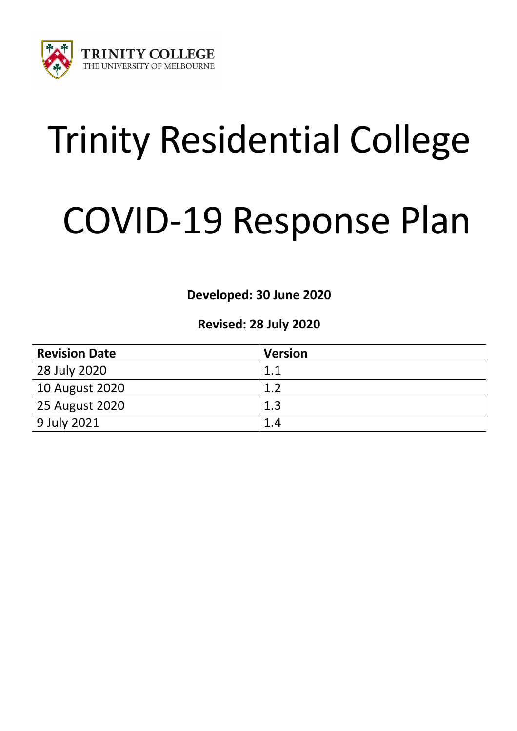

# Trinity Residential College

# COVID-19 Response Plan

**Developed: 30 June 2020**

# **Revised: 28 July 2020**

| <b>Revision Date</b> | <b>Version</b> |
|----------------------|----------------|
| 28 July 2020         | 11             |
| 10 August 2020       | 1.2            |
| 25 August 2020       | 1.3            |
| 9 July 2021          | 1.4            |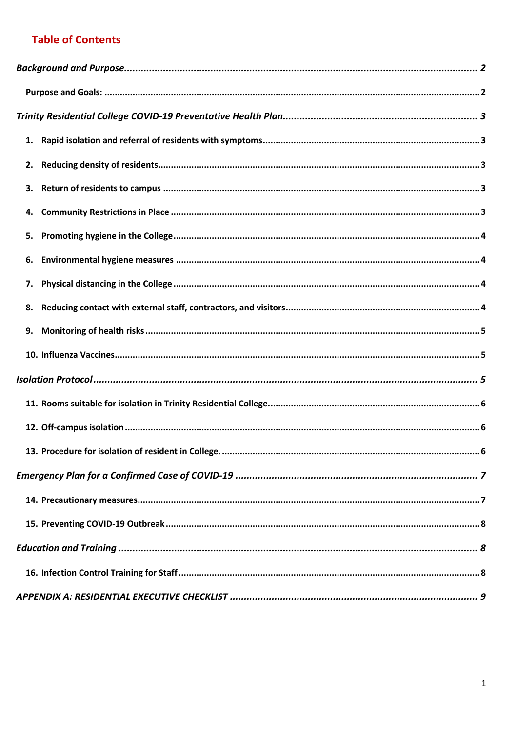# **Table of Contents**

| 4. |  |  |  |  |  |
|----|--|--|--|--|--|
| 5. |  |  |  |  |  |
| 6. |  |  |  |  |  |
| 7. |  |  |  |  |  |
| 8. |  |  |  |  |  |
| 9. |  |  |  |  |  |
|    |  |  |  |  |  |
|    |  |  |  |  |  |
|    |  |  |  |  |  |
|    |  |  |  |  |  |
|    |  |  |  |  |  |
|    |  |  |  |  |  |
|    |  |  |  |  |  |
|    |  |  |  |  |  |
|    |  |  |  |  |  |
|    |  |  |  |  |  |
|    |  |  |  |  |  |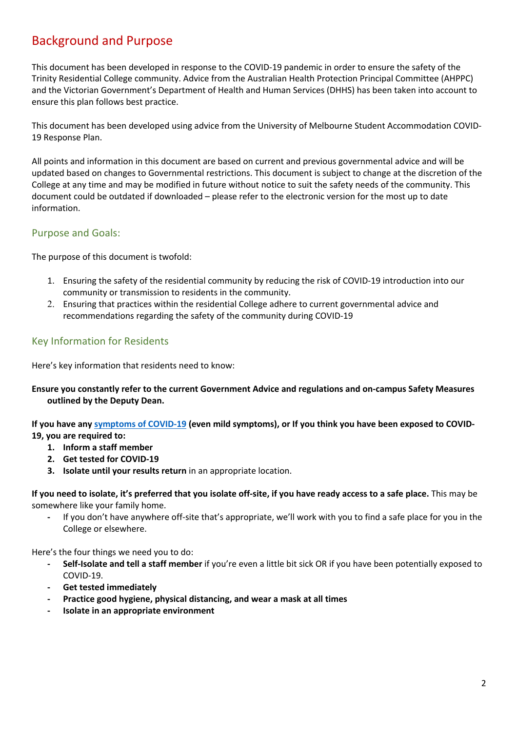# Background and Purpose

This document has been developed in response to the COVID-19 pandemic in order to ensure the safety of the Trinity Residential College community. Advice from the Australian Health Protection Principal Committee (AHPPC) and the Victorian Government's Department of Health and Human Services (DHHS) has been taken into account to ensure this plan follows best practice.

This document has been developed using advice from the University of Melbourne Student Accommodation COVID-19 Response Plan.

All points and information in this document are based on current and previous governmental advice and will be updated based on changes to Governmental restrictions. This document is subject to change at the discretion of the College at any time and may be modified in future without notice to suit the safety needs of the community. This document could be outdated if downloaded – please refer to the electronic version for the most up to date information.

## Purpose and Goals:

The purpose of this document is twofold:

- 1. Ensuring the safety of the residential community by reducing the risk of COVID-19 introduction into our community or transmission to residents in the community.
- 2. Ensuring that practices within the residential College adhere to current governmental advice and recommendations regarding the safety of the community during COVID-19

# Key Information for Residents

Here's key information that residents need to know:

#### **Ensure you constantly refer to the current Government Advice and regulations and on-campus Safety Measures outlined by the Deputy Dean.**

**If you have any symptoms of COVID-19 (even mild symptoms), or If you think you have been exposed to COVID-19, you are required to:**

- **1. Inform a staff member**
- **2. Get tested for COVID-19**
- **3. Isolate until your results return** in an appropriate location.

**If you need to isolate, it's preferred that you isolate off-site, if you have ready access to a safe place.** This may be somewhere like your family home.

**-** If you don't have anywhere off-site that's appropriate, we'll work with you to find a safe place for you in the College or elsewhere.

Here's the four things we need you to do:

- **- Self-Isolate and tell a staff member** if you're even a little bit sick OR if you have been potentially exposed to COVID-19.
- **- Get tested immediately**
- **- Practice good hygiene, physical distancing, and wear a mask at all times**
- **- Isolate in an appropriate environment**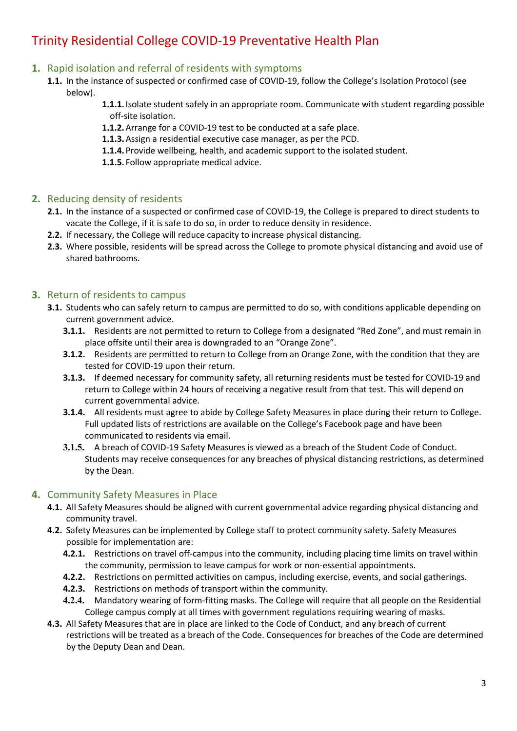# Trinity Residential College COVID-19 Preventative Health Plan

## **1.** Rapid isolation and referral of residents with symptoms

- **1.1.** In the instance of suspected or confirmed case of COVID-19, follow the College's Isolation Protocol (see below).
	- **1.1.1.**Isolate student safely in an appropriate room. Communicate with student regarding possible off-site isolation.
	- **1.1.2.**Arrange for a COVID-19 test to be conducted at a safe place.
	- **1.1.3.**Assign a residential executive case manager, as per the PCD.
	- **1.1.4.** Provide wellbeing, health, and academic support to the isolated student.
	- **1.1.5.** Follow appropriate medical advice.

#### **2.** Reducing density of residents

- **2.1.** In the instance of a suspected or confirmed case of COVID-19, the College is prepared to direct students to vacate the College, if it is safe to do so, in order to reduce density in residence.
- **2.2.** If necessary, the College will reduce capacity to increase physical distancing.
- **2.3.** Where possible, residents will be spread across the College to promote physical distancing and avoid use of shared bathrooms.

#### **3.** Return of residents to campus

- **3.1.** Students who can safely return to campus are permitted to do so, with conditions applicable depending on current government advice.
	- **3.1.1.** Residents are not permitted to return to College from a designated "Red Zone", and must remain in place offsite until their area is downgraded to an "Orange Zone".
	- **3.1.2.** Residents are permitted to return to College from an Orange Zone, with the condition that they are tested for COVID-19 upon their return.
	- **3.1.3.** If deemed necessary for community safety, all returning residents must be tested for COVID-19 and return to College within 24 hours of receiving a negative result from that test. This will depend on current governmental advice.
	- **3.1.4.** All residents must agree to abide by College Safety Measures in place during their return to College. Full updated lists of restrictions are available on the College's Facebook page and have been communicated to residents via email.
	- **3.1.5.** A breach of COVID-19 Safety Measures is viewed as a breach of the Student Code of Conduct. Students may receive consequences for any breaches of physical distancing restrictions, as determined by the Dean.

## **4.** Community Safety Measures in Place

- **4.1.** All Safety Measures should be aligned with current governmental advice regarding physical distancing and community travel.
- **4.2.** Safety Measures can be implemented by College staff to protect community safety. Safety Measures possible for implementation are:
	- **4.2.1.** Restrictions on travel off-campus into the community, including placing time limits on travel within the community, permission to leave campus for work or non-essential appointments.
	- **4.2.2.** Restrictions on permitted activities on campus, including exercise, events, and social gatherings.
	- **4.2.3.** Restrictions on methods of transport within the community.
	- **4.2.4.** Mandatory wearing of form-fitting masks. The College will require that all people on the Residential College campus comply at all times with government regulations requiring wearing of masks.
- **4.3.** All Safety Measures that are in place are linked to the Code of Conduct, and any breach of current restrictions will be treated as a breach of the Code. Consequences for breaches of the Code are determined by the Deputy Dean and Dean.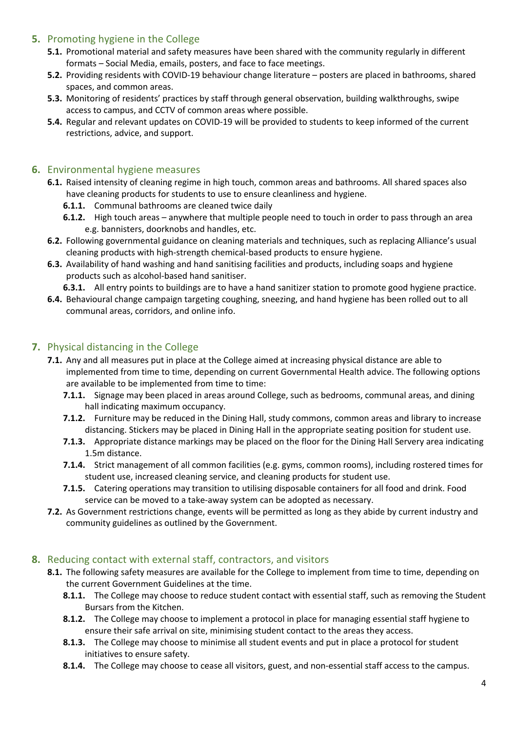# **5.** Promoting hygiene in the College

- **5.1.** Promotional material and safety measures have been shared with the community regularly in different formats – Social Media, emails, posters, and face to face meetings.
- **5.2.** Providing residents with COVID-19 behaviour change literature posters are placed in bathrooms, shared spaces, and common areas.
- **5.3.** Monitoring of residents' practices by staff through general observation, building walkthroughs, swipe access to campus, and CCTV of common areas where possible.
- **5.4.** Regular and relevant updates on COVID-19 will be provided to students to keep informed of the current restrictions, advice, and support.

# **6.** Environmental hygiene measures

- **6.1.** Raised intensity of cleaning regime in high touch, common areas and bathrooms. All shared spaces also have cleaning products for students to use to ensure cleanliness and hygiene.
	- **6.1.1.** Communal bathrooms are cleaned twice daily
	- **6.1.2.** High touch areas anywhere that multiple people need to touch in order to pass through an area e.g. bannisters, doorknobs and handles, etc.
- **6.2.** Following governmental guidance on cleaning materials and techniques, such as replacing Alliance's usual cleaning products with high-strength chemical-based products to ensure hygiene.
- **6.3.** Availability of hand washing and hand sanitising facilities and products, including soaps and hygiene products such as alcohol-based hand sanitiser.

**6.3.1.** All entry points to buildings are to have a hand sanitizer station to promote good hygiene practice.

**6.4.** Behavioural change campaign targeting coughing, sneezing, and hand hygiene has been rolled out to all communal areas, corridors, and online info.

# **7.** Physical distancing in the College

- **7.1.** Any and all measures put in place at the College aimed at increasing physical distance are able to implemented from time to time, depending on current Governmental Health advice. The following options are available to be implemented from time to time:
	- **7.1.1.** Signage may been placed in areas around College, such as bedrooms, communal areas, and dining hall indicating maximum occupancy.
	- **7.1.2.** Furniture may be reduced in the Dining Hall, study commons, common areas and library to increase distancing. Stickers may be placed in Dining Hall in the appropriate seating position for student use.
	- **7.1.3.** Appropriate distance markings may be placed on the floor for the Dining Hall Servery area indicating 1.5m distance.
	- **7.1.4.** Strict management of all common facilities (e.g. gyms, common rooms), including rostered times for student use, increased cleaning service, and cleaning products for student use.
	- **7.1.5.** Catering operations may transition to utilising disposable containers for all food and drink. Food service can be moved to a take-away system can be adopted as necessary.
- **7.2.** As Government restrictions change, events will be permitted as long as they abide by current industry and community guidelines as outlined by the Government.

# **8.** Reducing contact with external staff, contractors, and visitors

- **8.1.** The following safety measures are available for the College to implement from time to time, depending on the current Government Guidelines at the time.
	- **8.1.1.** The College may choose to reduce student contact with essential staff, such as removing the Student Bursars from the Kitchen.
	- **8.1.2.** The College may choose to implement a protocol in place for managing essential staff hygiene to ensure their safe arrival on site, minimising student contact to the areas they access.
	- **8.1.3.** The College may choose to minimise all student events and put in place a protocol for student initiatives to ensure safety.
	- **8.1.4.** The College may choose to cease all visitors, guest, and non-essential staff access to the campus.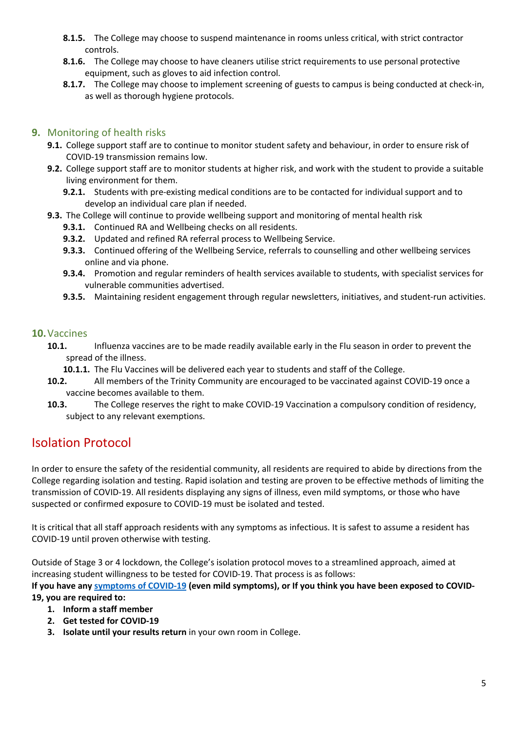- **8.1.5.** The College may choose to suspend maintenance in rooms unless critical, with strict contractor controls.
- **8.1.6.** The College may choose to have cleaners utilise strict requirements to use personal protective equipment, such as gloves to aid infection control.
- **8.1.7.** The College may choose to implement screening of guests to campus is being conducted at check-in, as well as thorough hygiene protocols.

# **9.** Monitoring of health risks

- **9.1.** College support staff are to continue to monitor student safety and behaviour, in order to ensure risk of COVID-19 transmission remains low.
- **9.2.** College support staff are to monitor students at higher risk, and work with the student to provide a suitable living environment for them.
	- **9.2.1.** Students with pre-existing medical conditions are to be contacted for individual support and to develop an individual care plan if needed.
- **9.3.** The College will continue to provide wellbeing support and monitoring of mental health risk
	- **9.3.1.** Continued RA and Wellbeing checks on all residents.
	- **9.3.2.** Updated and refined RA referral process to Wellbeing Service.
	- **9.3.3.** Continued offering of the Wellbeing Service, referrals to counselling and other wellbeing services online and via phone.
	- **9.3.4.** Promotion and regular reminders of health services available to students, with specialist services for vulnerable communities advertised.
	- **9.3.5.** Maintaining resident engagement through regular newsletters, initiatives, and student-run activities.

## **10.**Vaccines

- **10.1.** Influenza vaccines are to be made readily available early in the Flu season in order to prevent the spread of the illness.
	- **10.1.1.** The Flu Vaccines will be delivered each year to students and staff of the College.
- **10.2.** All members of the Trinity Community are encouraged to be vaccinated against COVID-19 once a vaccine becomes available to them.
- **10.3.** The College reserves the right to make COVID-19 Vaccination a compulsory condition of residency, subject to any relevant exemptions.

# Isolation Protocol

In order to ensure the safety of the residential community, all residents are required to abide by directions from the College regarding isolation and testing. Rapid isolation and testing are proven to be effective methods of limiting the transmission of COVID-19. All residents displaying any signs of illness, even mild symptoms, or those who have suspected or confirmed exposure to COVID-19 must be isolated and tested.

It is critical that all staff approach residents with any symptoms as infectious. It is safest to assume a resident has COVID-19 until proven otherwise with testing.

Outside of Stage 3 or 4 lockdown, the College's isolation protocol moves to a streamlined approach, aimed at increasing student willingness to be tested for COVID-19. That process is as follows:

**If you have any symptoms of COVID-19 (even mild symptoms), or If you think you have been exposed to COVID-19, you are required to:**

- **1. Inform a staff member**
- **2. Get tested for COVID-19**
- **3. Isolate until your results return** in your own room in College.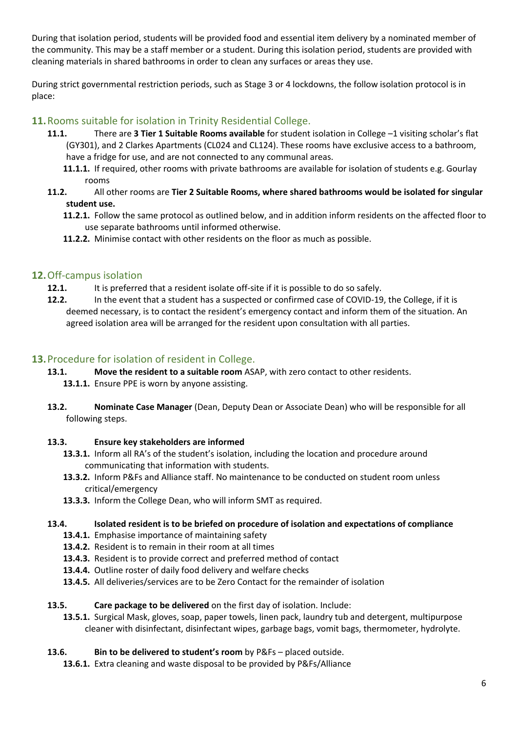During that isolation period, students will be provided food and essential item delivery by a nominated member of the community. This may be a staff member or a student. During this isolation period, students are provided with cleaning materials in shared bathrooms in order to clean any surfaces or areas they use.

During strict governmental restriction periods, such as Stage 3 or 4 lockdowns, the follow isolation protocol is in place:

# **11.**Rooms suitable for isolation in Trinity Residential College.

- **11.1.** There are **3 Tier 1 Suitable Rooms available** for student isolation in College –1 visiting scholar's flat (GY301), and 2 Clarkes Apartments (CL024 and CL124). These rooms have exclusive access to a bathroom, have a fridge for use, and are not connected to any communal areas.
	- **11.1.1.** If required, other rooms with private bathrooms are available for isolation of students e.g. Gourlay rooms
- **11.2.** All other rooms are **Tier 2 Suitable Rooms, where shared bathrooms would be isolated for singular student use.**
	- **11.2.1.** Follow the same protocol as outlined below, and in addition inform residents on the affected floor to use separate bathrooms until informed otherwise.
	- **11.2.2.** Minimise contact with other residents on the floor as much as possible.

# **12.**Off-campus isolation

- **12.1.** It is preferred that a resident isolate off-site if it is possible to do so safely.
- **12.2.** In the event that a student has a suspected or confirmed case of COVID-19, the College, if it is deemed necessary, is to contact the resident's emergency contact and inform them of the situation. An agreed isolation area will be arranged for the resident upon consultation with all parties.

# **13.**Procedure for isolation of resident in College.

- **13.1. Move the resident to a suitable room** ASAP, with zero contact to other residents.
	- **13.1.1.** Ensure PPE is worn by anyone assisting.
- **13.2. Nominate Case Manager** (Dean, Deputy Dean or Associate Dean) who will be responsible for all following steps.

## **13.3. Ensure key stakeholders are informed**

- **13.3.1.** Inform all RA's of the student's isolation, including the location and procedure around communicating that information with students.
- **13.3.2.** Inform P&Fs and Alliance staff. No maintenance to be conducted on student room unless critical/emergency
- **13.3.3.** Inform the College Dean, who will inform SMT as required.

#### **13.4. Isolated resident is to be briefed on procedure of isolation and expectations of compliance**

- **13.4.1.** Emphasise importance of maintaining safety
- **13.4.2.** Resident is to remain in their room at all times
- **13.4.3.** Resident is to provide correct and preferred method of contact
- **13.4.4.** Outline roster of daily food delivery and welfare checks
- **13.4.5.** All deliveries/services are to be Zero Contact for the remainder of isolation

#### **13.5. Care package to be delivered** on the first day of isolation. Include:

**13.5.1.** Surgical Mask, gloves, soap, paper towels, linen pack, laundry tub and detergent, multipurpose cleaner with disinfectant, disinfectant wipes, garbage bags, vomit bags, thermometer, hydrolyte.

## **13.6. Bin to be delivered to student's room** by P&Fs – placed outside.

**13.6.1.** Extra cleaning and waste disposal to be provided by P&Fs/Alliance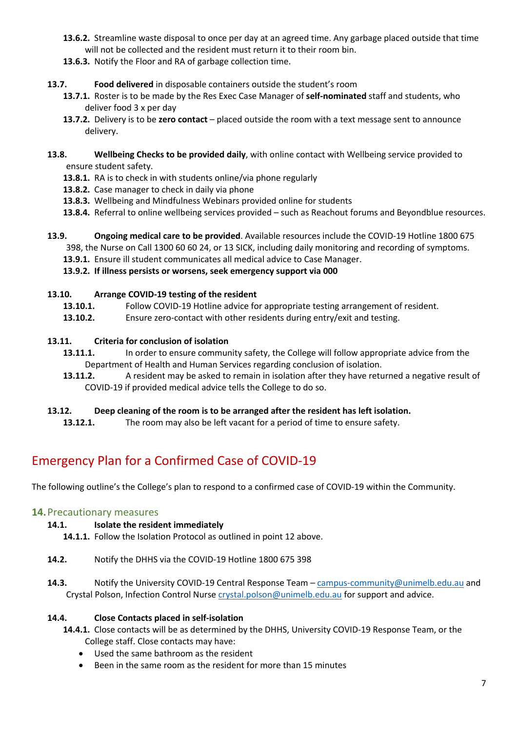- **13.6.2.** Streamline waste disposal to once per day at an agreed time. Any garbage placed outside that time will not be collected and the resident must return it to their room bin.
- **13.6.3.** Notify the Floor and RA of garbage collection time.
- **13.7. Food delivered** in disposable containers outside the student's room
	- **13.7.1.** Roster is to be made by the Res Exec Case Manager of **self-nominated** staff and students, who deliver food 3 x per day
	- **13.7.2.** Delivery is to be **zero contact** placed outside the room with a text message sent to announce delivery.
- **13.8. Wellbeing Checks to be provided daily**, with online contact with Wellbeing service provided to ensure student safety.
	- **13.8.1.** RA is to check in with students online/via phone regularly
	- **13.8.2.** Case manager to check in daily via phone
	- **13.8.3.** Wellbeing and Mindfulness Webinars provided online for students
	- **13.8.4.** Referral to online wellbeing services provided such as Reachout forums and Beyondblue resources.
- **13.9. Ongoing medical care to be provided**. Available resources include the COVID-19 Hotline 1800 675 398, the Nurse on Call 1300 60 60 24, or 13 SICK, including daily monitoring and recording of symptoms.
	- **13.9.1.** Ensure ill student communicates all medical advice to Case Manager.
	- **13.9.2. If illness persists or worsens, seek emergency support via 000**

#### **13.10. Arrange COVID-19 testing of the resident**

- **13.10.1.** Follow COVID-19 Hotline advice for appropriate testing arrangement of resident.
- **13.10.2.** Ensure zero-contact with other residents during entry/exit and testing.

#### **13.11. Criteria for conclusion of isolation**

- 13.11.1. In order to ensure community safety, the College will follow appropriate advice from the Department of Health and Human Services regarding conclusion of isolation.
- **13.11.2.** A resident may be asked to remain in isolation after they have returned a negative result of COVID-19 if provided medical advice tells the College to do so.

## **13.12. Deep cleaning of the room is to be arranged after the resident has left isolation.**

**13.12.1.** The room may also be left vacant for a period of time to ensure safety.

# Emergency Plan for a Confirmed Case of COVID-19

The following outline's the College's plan to respond to a confirmed case of COVID-19 within the Community.

## **14.**Precautionary measures

#### **14.1. Isolate the resident immediately**

- **14.1.1.** Follow the Isolation Protocol as outlined in point 12 above.
- **14.2.** Notify the DHHS via the COVID-19 Hotline 1800 675 398
- 14.3. Notify the University COVID-19 Central Response Team campus-community@unimelb.edu.au and Crystal Polson, Infection Control Nurse crystal.polson@unimelb.edu.au for support and advice.

#### **14.4. Close Contacts placed in self-isolation**

- **14.4.1.** Close contacts will be as determined by the DHHS, University COVID-19 Response Team, or the College staff. Close contacts may have:
	- Used the same bathroom as the resident
	- Been in the same room as the resident for more than 15 minutes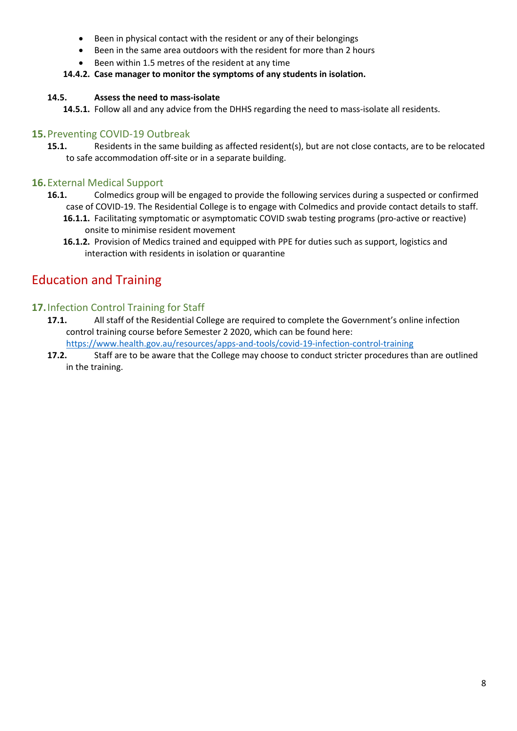- Been in physical contact with the resident or any of their belongings
- Been in the same area outdoors with the resident for more than 2 hours
- Been within 1.5 metres of the resident at any time

## **14.4.2. Case manager to monitor the symptoms of any students in isolation.**

#### **14.5. Assess the need to mass-isolate**

**14.5.1.** Follow all and any advice from the DHHS regarding the need to mass-isolate all residents.

## **15.**Preventing COVID-19 Outbreak

**15.1.** Residents in the same building as affected resident(s), but are not close contacts, are to be relocated to safe accommodation off-site or in a separate building.

## **16.**External Medical Support

- **16.1.** Colmedics group will be engaged to provide the following services during a suspected or confirmed case of COVID-19. The Residential College is to engage with Colmedics and provide contact details to staff.
	- **16.1.1.** Facilitating symptomatic or asymptomatic COVID swab testing programs (pro-active or reactive) onsite to minimise resident movement
	- **16.1.2.** Provision of Medics trained and equipped with PPE for duties such as support, logistics and interaction with residents in isolation or quarantine

# Education and Training

# **17.**Infection Control Training for Staff

- **17.1.** All staff of the Residential College are required to complete the Government's online infection control training course before Semester 2 2020, which can be found here: https://www.health.gov.au/resources/apps-and-tools/covid-19-infection-control-training
- **17.2.** Staff are to be aware that the College may choose to conduct stricter procedures than are outlined
	- in the training.